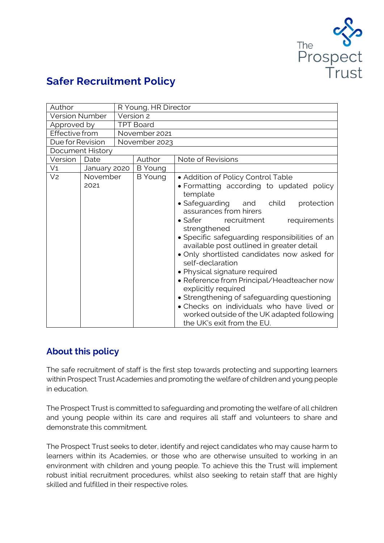

# **Safer Recruitment Policy**

| Author                |                  | R Young, HR Director |                |                                                                                                                                                                                                                                                                                                                                                                                                                                                                                                                                                                                                                                                                                  |
|-----------------------|------------------|----------------------|----------------|----------------------------------------------------------------------------------------------------------------------------------------------------------------------------------------------------------------------------------------------------------------------------------------------------------------------------------------------------------------------------------------------------------------------------------------------------------------------------------------------------------------------------------------------------------------------------------------------------------------------------------------------------------------------------------|
| <b>Version Number</b> |                  | Version 2            |                |                                                                                                                                                                                                                                                                                                                                                                                                                                                                                                                                                                                                                                                                                  |
| Approved by           |                  | <b>TPT Board</b>     |                |                                                                                                                                                                                                                                                                                                                                                                                                                                                                                                                                                                                                                                                                                  |
| Effective from        |                  |                      | November 2021  |                                                                                                                                                                                                                                                                                                                                                                                                                                                                                                                                                                                                                                                                                  |
| Due for Revision      |                  |                      | November 2023  |                                                                                                                                                                                                                                                                                                                                                                                                                                                                                                                                                                                                                                                                                  |
| Document History      |                  |                      |                |                                                                                                                                                                                                                                                                                                                                                                                                                                                                                                                                                                                                                                                                                  |
| Version               | Date             |                      | Author         | Note of Revisions                                                                                                                                                                                                                                                                                                                                                                                                                                                                                                                                                                                                                                                                |
| V <sub>1</sub>        | January 2020     |                      | <b>B</b> Young |                                                                                                                                                                                                                                                                                                                                                                                                                                                                                                                                                                                                                                                                                  |
| V <sub>2</sub>        | November<br>2021 |                      | <b>B</b> Young | • Addition of Policy Control Table<br>• Formatting according to updated policy<br>template<br>• Safeguarding and child<br>protection<br>assurances from hirers<br>$\bullet$ Safer<br>recruitment<br>requirements<br>strengthened<br>• Specific safeguarding responsibilities of an<br>available post outlined in greater detail<br>. Only shortlisted candidates now asked for<br>self-declaration<br>• Physical signature required<br>· Reference from Principal/Headteacher now<br>explicitly required<br>• Strengthening of safeguarding questioning<br>• Checks on individuals who have lived or<br>worked outside of the UK adapted following<br>the UK's exit from the EU. |

# **About this policy**

The safe recruitment of staff is the first step towards protecting and supporting learners within Prospect Trust Academies and promoting the welfare of children and young people in education.

The Prospect Trust is committed to safeguarding and promoting the welfare of all children and young people within its care and requires all staff and volunteers to share and demonstrate this commitment.

The Prospect Trust seeks to deter, identify and reject candidates who may cause harm to learners within its Academies, or those who are otherwise unsuited to working in an environment with children and young people. To achieve this the Trust will implement robust initial recruitment procedures, whilst also seeking to retain staff that are highly skilled and fulfilled in their respective roles.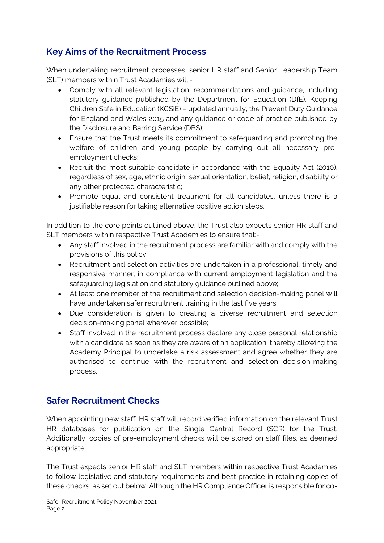# **Key Aims of the Recruitment Process**

When undertaking recruitment processes, senior HR staff and Senior Leadership Team (SLT) members within Trust Academies will:-

- Comply with all relevant legislation, recommendations and guidance, including statutory guidance published by the Department for Education (DfE), Keeping Children Safe in Education (KCSiE) – updated annually, the Prevent Duty Guidance for England and Wales 2015 and any guidance or code of practice published by the Disclosure and Barring Service (DBS);
- Ensure that the Trust meets its commitment to safeguarding and promoting the welfare of children and young people by carrying out all necessary preemployment checks;
- Recruit the most suitable candidate in accordance with the Equality Act (2010), regardless of sex, age, ethnic origin, sexual orientation, belief, religion, disability or any other protected characteristic;
- Promote equal and consistent treatment for all candidates, unless there is a justifiable reason for taking alternative positive action steps.

In addition to the core points outlined above, the Trust also expects senior HR staff and SLT members within respective Trust Academies to ensure that:-

- Any staff involved in the recruitment process are familiar with and comply with the provisions of this policy;
- Recruitment and selection activities are undertaken in a professional, timely and responsive manner, in compliance with current employment legislation and the safeguarding legislation and statutory guidance outlined above;
- At least one member of the recruitment and selection decision-making panel will have undertaken safer recruitment training in the last five years;
- Due consideration is given to creating a diverse recruitment and selection decision-making panel wherever possible;
- Staff involved in the recruitment process declare any close personal relationship with a candidate as soon as they are aware of an application, thereby allowing the Academy Principal to undertake a risk assessment and agree whether they are authorised to continue with the recruitment and selection decision-making process.

# **Safer Recruitment Checks**

When appointing new staff, HR staff will record verified information on the relevant Trust HR databases for publication on the Single Central Record (SCR) for the Trust. Additionally, copies of pre-employment checks will be stored on staff files, as deemed appropriate.

The Trust expects senior HR staff and SLT members within respective Trust Academies to follow legislative and statutory requirements and best practice in retaining copies of these checks, as set out below. Although the HR Compliance Officer is responsible for co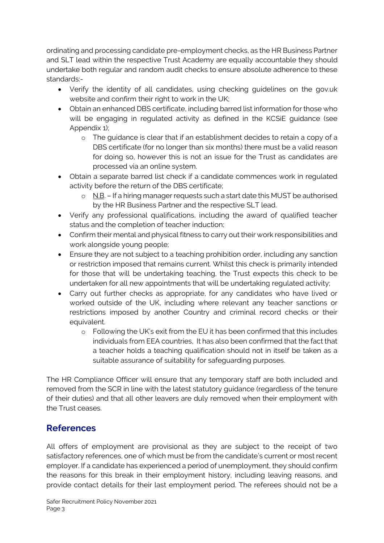ordinating and processing candidate pre-employment checks, as the HR Business Partner and SLT lead within the respective Trust Academy are equally accountable they should undertake both regular and random audit checks to ensure absolute adherence to these standards:-

- Verify the identity of all candidates, using checking guidelines on the gov.uk website and confirm their right to work in the UK;
- Obtain an enhanced DBS certificate, including barred list information for those who will be engaging in regulated activity as defined in the KCSiE guidance (see Appendix 1);
	- o The guidance is clear that if an establishment decides to retain a copy of a DBS certificate (for no longer than six months) there must be a valid reason for doing so, however this is not an issue for the Trust as candidates are processed via an online system.
- Obtain a separate barred list check if a candidate commences work in regulated activity before the return of the DBS certificate;
	- o N.B. If a hiring manager requests such a start date this MUST be authorised by the HR Business Partner and the respective SLT lead.
- Verify any professional qualifications, including the award of qualified teacher status and the completion of teacher induction;
- Confirm their mental and physical fitness to carry out their work responsibilities and work alongside young people;
- Ensure they are not subject to a teaching prohibition order, including any sanction or restriction imposed that remains current. Whilst this check is primarily intended for those that will be undertaking teaching, the Trust expects this check to be undertaken for all new appointments that will be undertaking regulated activity;
- Carry out further checks as appropriate, for any candidates who have lived or worked outside of the UK, including where relevant any teacher sanctions or restrictions imposed by another Country and criminal record checks or their equivalent.
	- o Following the UK's exit from the EU it has been confirmed that this includes individuals from EEA countries, It has also been confirmed that the fact that a teacher holds a teaching qualification should not in itself be taken as a suitable assurance of suitability for safeguarding purposes.

The HR Compliance Officer will ensure that any temporary staff are both included and removed from the SCR in line with the latest statutory guidance (regardless of the tenure of their duties) and that all other leavers are duly removed when their employment with the Trust ceases.

# **References**

All offers of employment are provisional as they are subject to the receipt of two satisfactory references, one of which must be from the candidate's current or most recent employer. If a candidate has experienced a period of unemployment, they should confirm the reasons for this break in their employment history, including leaving reasons, and provide contact details for their last employment period. The referees should not be a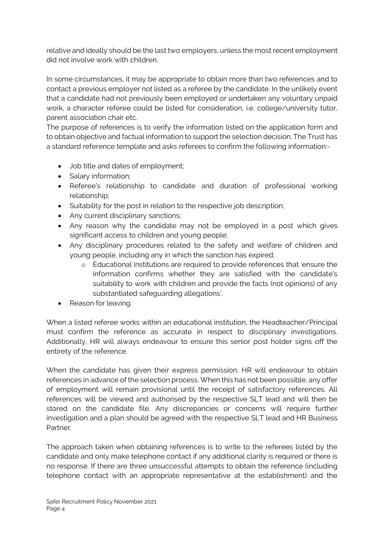relative and ideally should be the last two employers, unless the most recent employment did not involve work with children.

In some circumstances, it may be appropriate to obtain more than two references and to contact a previous employer not listed as a referee by the candidate. In the unlikely event that a candidate had not previously been employed or undertaken any voluntary unpaid work, a character referee could be listed for consideration, i.e. college/university tutor, parent association chair etc.

The purpose of references is to verify the information listed on the application form and to obtain objective and factual information to support the selection decision. The Trust has a standard reference template and asks referees to confirm the following information:-

- Job title and dates of employment;
- Salary information;
- Referee's relationship to candidate and duration of professional working relationship;
- Suitability for the post in relation to the respective job description;
- Any current disciplinary sanctions;
- Any reason why the candidate may not be employed in a post which gives significant access to children and young people;
- Any disciplinary procedures related to the safety and welfare of children and young people, including any in which the sanction has expired;
	- o Educational institutions are required to provide references that 'ensure the information confirms whether they are satisfied with the candidate's suitability to work with children and provide the facts (not opinions) of any substantiated safeguarding allegations'.
- Reason for leaving.

When a listed referee works within an educational institution, the Headteacher/Principal must confirm the reference as accurate in respect to disciplinary investigations. Additionally, HR will always endeavour to ensure this senior post holder signs off the entirety of the reference.

When the candidate has given their express permission, HR will endeavour to obtain references in advance of the selection process. When this has not been possible, any offer of employment will remain provisional until the receipt of satisfactory references. All references will be viewed and authorised by the respective SLT lead and will then be stored on the candidate file. Any discrepancies or concerns will require further investigation and a plan should be agreed with the respective SLT lead and HR Business Partner.

The approach taken when obtaining references is to write to the referees listed by the candidate and only make telephone contact if any additional clarity is required or there is no response. If there are three unsuccessful attempts to obtain the reference (including telephone contact with an appropriate representative at the establishment) and the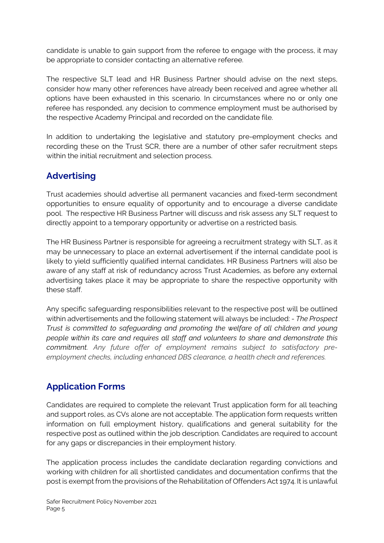candidate is unable to gain support from the referee to engage with the process, it may be appropriate to consider contacting an alternative referee.

The respective SLT lead and HR Business Partner should advise on the next steps, consider how many other references have already been received and agree whether all options have been exhausted in this scenario. In circumstances where no or only one referee has responded, any decision to commence employment must be authorised by the respective Academy Principal and recorded on the candidate file.

In addition to undertaking the legislative and statutory pre-employment checks and recording these on the Trust SCR, there are a number of other safer recruitment steps within the initial recruitment and selection process.

# **Advertising**

Trust academies should advertise all permanent vacancies and fixed-term secondment opportunities to ensure equality of opportunity and to encourage a diverse candidate pool. The respective HR Business Partner will discuss and risk assess any SLT request to directly appoint to a temporary opportunity or advertise on a restricted basis.

The HR Business Partner is responsible for agreeing a recruitment strategy with SLT, as it may be unnecessary to place an external advertisement if the internal candidate pool is likely to yield sufficiently qualified internal candidates. HR Business Partners will also be aware of any staff at risk of redundancy across Trust Academies, as before any external advertising takes place it may be appropriate to share the respective opportunity with these staff.

Any specific safeguarding responsibilities relevant to the respective post will be outlined within advertisements and the following statement will always be included: - *The Prospect Trust is committed to safeguarding and promoting the welfare of all children and young people within its care and requires all staff and volunteers to share and demonstrate this commitment. Any future offer of employment remains subject to satisfactory preemployment checks, including enhanced DBS clearance, a health check and references.*

### **Application Forms**

Candidates are required to complete the relevant Trust application form for all teaching and support roles, as CVs alone are not acceptable. The application form requests written information on full employment history, qualifications and general suitability for the respective post as outlined within the job description. Candidates are required to account for any gaps or discrepancies in their employment history.

The application process includes the candidate declaration regarding convictions and working with children for all shortlisted candidates and documentation confirms that the post is exempt from the provisions of the Rehabilitation of Offenders Act 1974. It is unlawful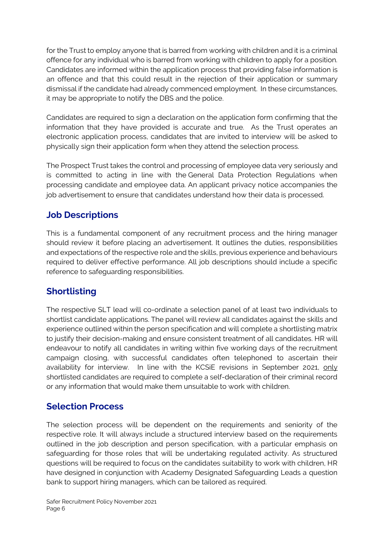for the Trust to employ anyone that is barred from working with children and it is a criminal offence for any individual who is barred from working with children to apply for a position. Candidates are informed within the application process that providing false information is an offence and that this could result in the rejection of their application or summary dismissal if the candidate had already commenced employment. In these circumstances, it may be appropriate to notify the DBS and the police.

Candidates are required to sign a declaration on the application form confirming that the information that they have provided is accurate and true. As the Trust operates an electronic application process, candidates that are invited to interview will be asked to physically sign their application form when they attend the selection process.

The Prospect Trust takes the control and processing of employee data very seriously and is committed to acting in line with the General Data Protection Regulations when processing candidate and employee data. An applicant privacy notice accompanies the job advertisement to ensure that candidates understand how their data is processed.

### **Job Descriptions**

This is a fundamental component of any recruitment process and the hiring manager should review it before placing an advertisement. It outlines the duties, responsibilities and expectations of the respective role and the skills, previous experience and behaviours required to deliver effective performance. All job descriptions should include a specific reference to safeguarding responsibilities.

# **Shortlisting**

The respective SLT lead will co-ordinate a selection panel of at least two individuals to shortlist candidate applications. The panel will review all candidates against the skills and experience outlined within the person specification and will complete a shortlisting matrix to justify their decision-making and ensure consistent treatment of all candidates. HR will endeavour to notify all candidates in writing within five working days of the recruitment campaign closing, with successful candidates often telephoned to ascertain their availability for interview. In line with the KCSIE revisions in September 2021, only shortlisted candidates are required to complete a self-declaration of their criminal record or any information that would make them unsuitable to work with children.

### **Selection Process**

The selection process will be dependent on the requirements and seniority of the respective role. It will always include a structured interview based on the requirements outlined in the job description and person specification, with a particular emphasis on safeguarding for those roles that will be undertaking regulated activity. As structured questions will be required to focus on the candidates suitability to work with children, HR have designed in conjunction with Academy Designated Safeguarding Leads a question bank to support hiring managers, which can be tailored as required.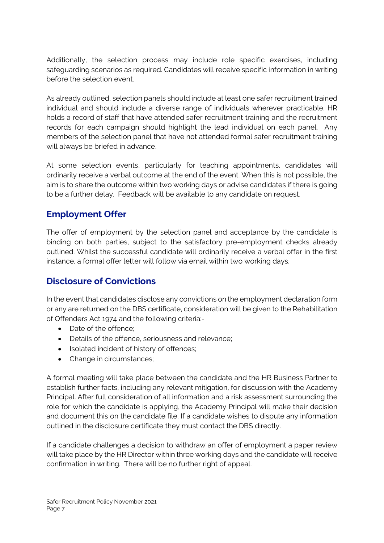Additionally, the selection process may include role specific exercises, including safeguarding scenarios as required. Candidates will receive specific information in writing before the selection event.

As already outlined, selection panels should include at least one safer recruitment trained individual and should include a diverse range of individuals wherever practicable. HR holds a record of staff that have attended safer recruitment training and the recruitment records for each campaign should highlight the lead individual on each panel. Any members of the selection panel that have not attended formal safer recruitment training will always be briefed in advance.

At some selection events, particularly for teaching appointments, candidates will ordinarily receive a verbal outcome at the end of the event. When this is not possible, the aim is to share the outcome within two working days or advise candidates if there is going to be a further delay. Feedback will be available to any candidate on request.

### **Employment Offer**

The offer of employment by the selection panel and acceptance by the candidate is binding on both parties, subject to the satisfactory pre-employment checks already outlined. Whilst the successful candidate will ordinarily receive a verbal offer in the first instance, a formal offer letter will follow via email within two working days.

### **Disclosure of Convictions**

In the event that candidates disclose any convictions on the employment declaration form or any are returned on the DBS certificate, consideration will be given to the Rehabilitation of Offenders Act 1974 and the following criteria:-

- Date of the offence:
- Details of the offence, seriousness and relevance;
- Isolated incident of history of offences;
- Change in circumstances;

A formal meeting will take place between the candidate and the HR Business Partner to establish further facts, including any relevant mitigation, for discussion with the Academy Principal. After full consideration of all information and a risk assessment surrounding the role for which the candidate is applying, the Academy Principal will make their decision and document this on the candidate file. If a candidate wishes to dispute any information outlined in the disclosure certificate they must contact the DBS directly.

If a candidate challenges a decision to withdraw an offer of employment a paper review will take place by the HR Director within three working days and the candidate will receive confirmation in writing. There will be no further right of appeal.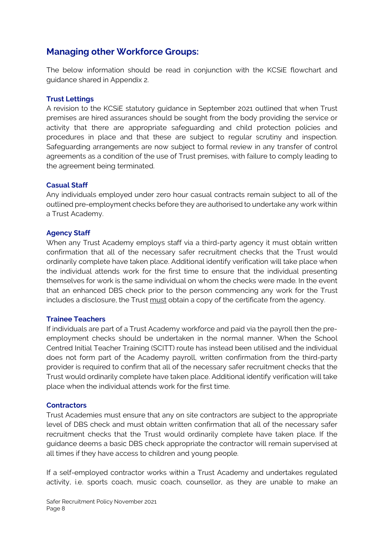### **Managing other Workforce Groups:**

The below information should be read in conjunction with the KCSiE flowchart and guidance shared in Appendix 2.

#### **Trust Lettings**

A revision to the KCSiE statutory guidance in September 2021 outlined that when Trust premises are hired assurances should be sought from the body providing the service or activity that there are appropriate safeguarding and child protection policies and procedures in place and that these are subject to regular scrutiny and inspection. Safeguarding arrangements are now subject to formal review in any transfer of control agreements as a condition of the use of Trust premises, with failure to comply leading to the agreement being terminated.

#### **Casual Staff**

Any individuals employed under zero hour casual contracts remain subject to all of the outlined pre-employment checks before they are authorised to undertake any work within a Trust Academy.

#### **Agency Staff**

When any Trust Academy employs staff via a third-party agency it must obtain written confirmation that all of the necessary safer recruitment checks that the Trust would ordinarily complete have taken place. Additional identify verification will take place when the individual attends work for the first time to ensure that the individual presenting themselves for work is the same individual on whom the checks were made. In the event that an enhanced DBS check prior to the person commencing any work for the Trust includes a disclosure, the Trust must obtain a copy of the certificate from the agency.

#### **Trainee Teachers**

If individuals are part of a Trust Academy workforce and paid via the payroll then the preemployment checks should be undertaken in the normal manner. When the School Centred Initial Teacher Training (SCITT) route has instead been utilised and the individual does not form part of the Academy payroll, written confirmation from the third-party provider is required to confirm that all of the necessary safer recruitment checks that the Trust would ordinarily complete have taken place. Additional identify verification will take place when the individual attends work for the first time.

#### **Contractors**

Trust Academies must ensure that any on site contractors are subject to the appropriate level of DBS check and must obtain written confirmation that all of the necessary safer recruitment checks that the Trust would ordinarily complete have taken place. If the guidance deems a basic DBS check appropriate the contractor will remain supervised at all times if they have access to children and young people.

If a self-employed contractor works within a Trust Academy and undertakes regulated activity, i.e. sports coach, music coach, counsellor, as they are unable to make an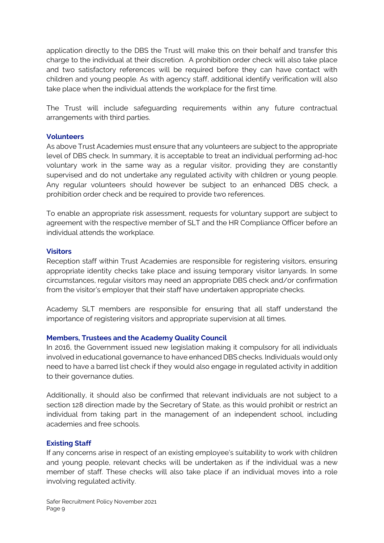application directly to the DBS the Trust will make this on their behalf and transfer this charge to the individual at their discretion. A prohibition order check will also take place and two satisfactory references will be required before they can have contact with children and young people. As with agency staff, additional identify verification will also take place when the individual attends the workplace for the first time.

The Trust will include safeguarding requirements within any future contractual arrangements with third parties.

#### **Volunteers**

As above Trust Academies must ensure that any volunteers are subject to the appropriate level of DBS check. In summary, it is acceptable to treat an individual performing ad-hoc voluntary work in the same way as a regular visitor, providing they are constantly supervised and do not undertake any regulated activity with children or young people. Any regular volunteers should however be subject to an enhanced DBS check, a prohibition order check and be required to provide two references.

To enable an appropriate risk assessment, requests for voluntary support are subject to agreement with the respective member of SLT and the HR Compliance Officer before an individual attends the workplace.

#### **Visitors**

Reception staff within Trust Academies are responsible for registering visitors, ensuring appropriate identity checks take place and issuing temporary visitor lanyards. In some circumstances, regular visitors may need an appropriate DBS check and/or confirmation from the visitor's employer that their staff have undertaken appropriate checks.

Academy SLT members are responsible for ensuring that all staff understand the importance of registering visitors and appropriate supervision at all times.

#### **Members, Trustees and the Academy Quality Council**

In 2016, the Government issued new legislation making it compulsory for all individuals involved in educational governance to have enhanced DBS checks. Individuals would only need to have a barred list check if they would also engage in regulated activity in addition to their governance duties.

Additionally, it should also be confirmed that relevant individuals are not subject to a section 128 direction made by the Secretary of State, as this would prohibit or restrict an individual from taking part in the management of an independent school, including academies and free schools.

#### **Existing Staff**

If any concerns arise in respect of an existing employee's suitability to work with children and young people, relevant checks will be undertaken as if the individual was a new member of staff. These checks will also take place if an individual moves into a role involving regulated activity.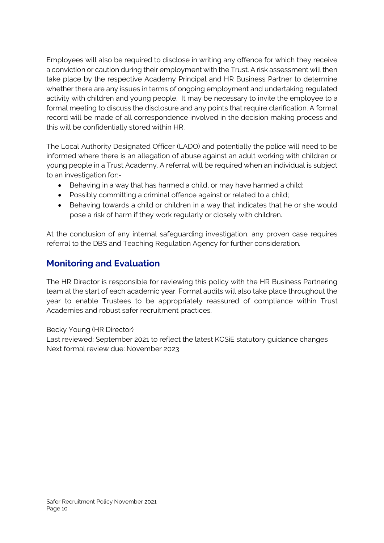Employees will also be required to disclose in writing any offence for which they receive a conviction or caution during their employment with the Trust. A risk assessment will then take place by the respective Academy Principal and HR Business Partner to determine whether there are any issues in terms of ongoing employment and undertaking regulated activity with children and young people. It may be necessary to invite the employee to a formal meeting to discuss the disclosure and any points that require clarification. A formal record will be made of all correspondence involved in the decision making process and this will be confidentially stored within HR.

The Local Authority Designated Officer (LADO) and potentially the police will need to be informed where there is an allegation of abuse against an adult working with children or young people in a Trust Academy. A referral will be required when an individual is subject to an investigation for:-

- Behaving in a way that has harmed a child, or may have harmed a child;
- Possibly committing a criminal offence against or related to a child;
- Behaving towards a child or children in a way that indicates that he or she would pose a risk of harm if they work regularly or closely with children.

At the conclusion of any internal safeguarding investigation, any proven case requires referral to the DBS and Teaching Regulation Agency for further consideration.

# **Monitoring and Evaluation**

The HR Director is responsible for reviewing this policy with the HR Business Partnering team at the start of each academic year. Formal audits will also take place throughout the year to enable Trustees to be appropriately reassured of compliance within Trust Academies and robust safer recruitment practices.

Becky Young (HR Director)

Last reviewed: September 2021 to reflect the latest KCSiE statutory guidance changes Next formal review due: November 2023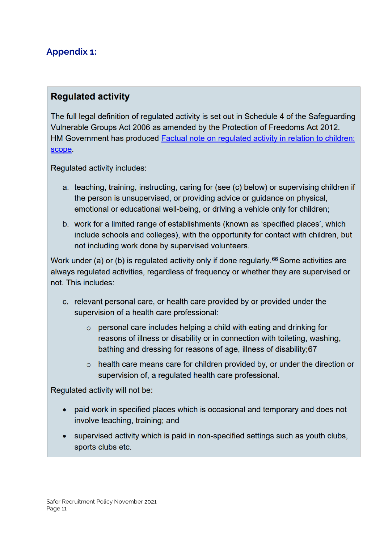# **Appendix 1:**

### **Requlated activity**

The full legal definition of regulated activity is set out in Schedule 4 of the Safeguarding Vulnerable Groups Act 2006 as amended by the Protection of Freedoms Act 2012. HM Government has produced Factual note on regulated activity in relation to children: scope.

Regulated activity includes:

- a. teaching, training, instructing, caring for (see (c) below) or supervising children if the person is unsupervised, or providing advice or guidance on physical, emotional or educational well-being, or driving a vehicle only for children;
- b. work for a limited range of establishments (known as 'specified places', which include schools and colleges), with the opportunity for contact with children, but not including work done by supervised volunteers.

Work under (a) or (b) is regulated activity only if done regularly.<sup>66</sup> Some activities are always regulated activities, regardless of frequency or whether they are supervised or not. This includes:

- c. relevant personal care, or health care provided by or provided under the supervision of a health care professional:
	- $\circ$  personal care includes helping a child with eating and drinking for reasons of illness or disability or in connection with toileting, washing, bathing and dressing for reasons of age, illness of disability;67
	- $\circ$  health care means care for children provided by, or under the direction or supervision of, a regulated health care professional.

Regulated activity will not be:

- paid work in specified places which is occasional and temporary and does not involve teaching, training; and
- supervised activity which is paid in non-specified settings such as youth clubs, sports clubs etc.